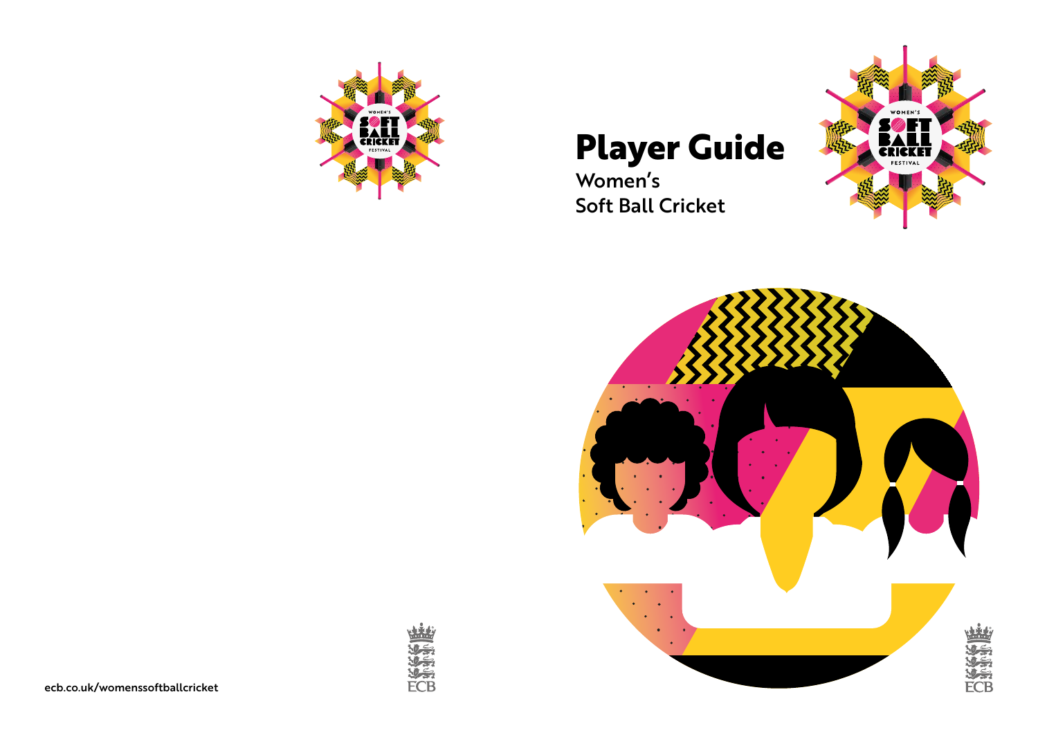

# **Player Guide**

Women's Soft Ball Cricket